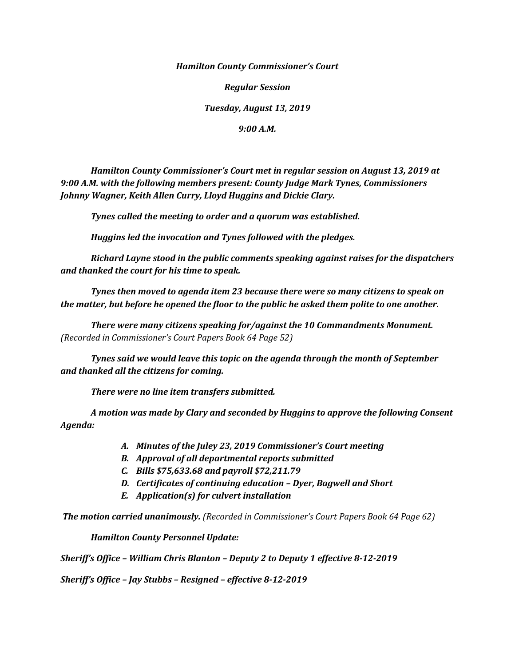*Hamilton County Commissioner's Court*

*Regular Session*

*Tuesday, August 13, 2019*

*9:00 A.M.*

*Hamilton County Commissioner's Court met in regular session on August 13, 2019 at 9:00 A.M. with the following members present: County Judge Mark Tynes, Commissioners Johnny Wagner, Keith Allen Curry, Lloyd Huggins and Dickie Clary.*

*Tynes called the meeting to order and a quorum was established.*

*Huggins led the invocation and Tynes followed with the pledges.*

*Richard Layne stood in the public comments speaking against raises for the dispatchers and thanked the court for his time to speak.*

*Tynes then moved to agenda item 23 because there were so many citizens to speak on the matter, but before he opened the floor to the public he asked them polite to one another.*

*There were many citizens speaking for/against the 10 Commandments Monument. (Recorded in Commissioner's Court Papers Book 64 Page 52)*

*Tynes said we would leave this topic on the agenda through the month of September and thanked all the citizens for coming.*

*There were no line item transfers submitted.*

*A motion was made by Clary and seconded by Huggins to approve the following Consent Agenda:*

- *A. Minutes of the Juley 23, 2019 Commissioner's Court meeting*
- *B. Approval of all departmental reports submitted*
- *C. Bills \$75,633.68 and payroll \$72,211.79*
- *D. Certificates of continuing education – Dyer, Bagwell and Short*
- *E. Application(s) for culvert installation*

*The motion carried unanimously. (Recorded in Commissioner's Court Papers Book 64 Page 62)*

*Hamilton County Personnel Update:*

*Sheriff's Office – William Chris Blanton – Deputy 2 to Deputy 1 effective 8-12-2019*

*Sheriff's Office – Jay Stubbs – Resigned – effective 8-12-2019*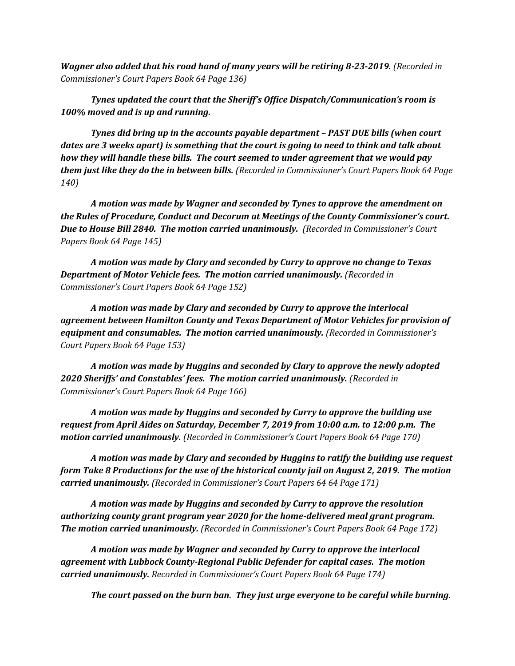*Wagner also added that his road hand of many years will be retiring 8-23-2019. (Recorded in Commissioner's Court Papers Book 64 Page 136)*

*Tynes updated the court that the Sheriff's Office Dispatch/Communication's room is 100% moved and is up and running.*

*Tynes did bring up in the accounts payable department – PAST DUE bills (when court dates are 3 weeks apart) is something that the court is going to need to think and talk about how they will handle these bills. The court seemed to under agreement that we would pay them just like they do the in between bills. (Recorded in Commissioner's Court Papers Book 64 Page 140)*

*A motion was made by Wagner and seconded by Tynes to approve the amendment on the Rules of Procedure, Conduct and Decorum at Meetings of the County Commissioner's court. Due to House Bill 2840. The motion carried unanimously. (Recorded in Commissioner's Court Papers Book 64 Page 145)*

*A motion was made by Clary and seconded by Curry to approve no change to Texas Department of Motor Vehicle fees. The motion carried unanimously. (Recorded in Commissioner's Court Papers Book 64 Page 152)*

*A motion was made by Clary and seconded by Curry to approve the interlocal agreement between Hamilton County and Texas Department of Motor Vehicles for provision of equipment and consumables. The motion carried unanimously. (Recorded in Commissioner's Court Papers Book 64 Page 153)*

*A motion was made by Huggins and seconded by Clary to approve the newly adopted 2020 Sheriffs' and Constables' fees. The motion carried unanimously. (Recorded in Commissioner's Court Papers Book 64 Page 166)*

*A motion was made by Huggins and seconded by Curry to approve the building use request from April Aides on Saturday, December 7, 2019 from 10:00 a.m. to 12:00 p.m. The motion carried unanimously. (Recorded in Commissioner's Court Papers Book 64 Page 170)*

*A motion was made by Clary and seconded by Huggins to ratify the building use request form Take 8 Productions for the use of the historical county jail on August 2, 2019. The motion carried unanimously. (Recorded in Commissioner's Court Papers 64 64 Page 171)*

*A motion was made by Huggins and seconded by Curry to approve the resolution authorizing county grant program year 2020 for the home-delivered meal grant program. The motion carried unanimously. (Recorded in Commissioner's Court Papers Book 64 Page 172)*

*A motion was made by Wagner and seconded by Curry to approve the interlocal agreement with Lubbock County-Regional Public Defender for capital cases. The motion carried unanimously. Recorded in Commissioner's Court Papers Book 64 Page 174)*

*The court passed on the burn ban. They just urge everyone to be careful while burning.*